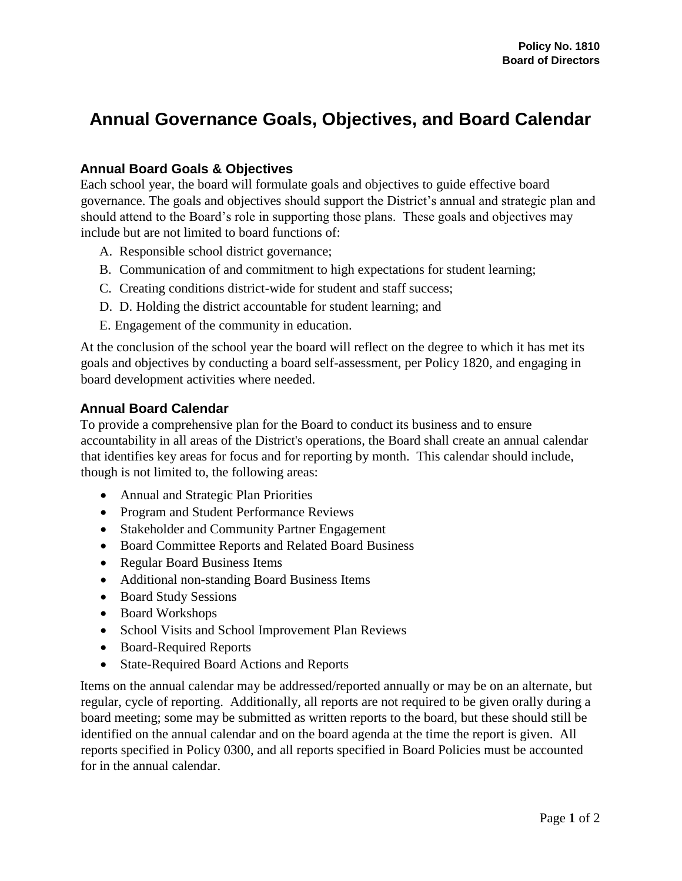## **Annual Governance Goals, Objectives, and Board Calendar**

## **Annual Board Goals & Objectives**

Each school year, the board will formulate goals and objectives to guide effective board governance. The goals and objectives should support the District's annual and strategic plan and should attend to the Board's role in supporting those plans. These goals and objectives may include but are not limited to board functions of:

- A. Responsible school district governance;
- B. Communication of and commitment to high expectations for student learning;
- C. Creating conditions district-wide for student and staff success;
- D. D. Holding the district accountable for student learning; and
- E. Engagement of the community in education.

At the conclusion of the school year the board will reflect on the degree to which it has met its goals and objectives by conducting a board self-assessment, per Policy 1820, and engaging in board development activities where needed.

## **Annual Board Calendar**

To provide a comprehensive plan for the Board to conduct its business and to ensure accountability in all areas of the District's operations, the Board shall create an annual calendar that identifies key areas for focus and for reporting by month. This calendar should include, though is not limited to, the following areas:

- Annual and Strategic Plan Priorities
- Program and Student Performance Reviews
- Stakeholder and Community Partner Engagement
- Board Committee Reports and Related Board Business
- Regular Board Business Items
- Additional non-standing Board Business Items
- Board Study Sessions
- Board Workshops
- School Visits and School Improvement Plan Reviews
- Board-Required Reports
- State-Required Board Actions and Reports

Items on the annual calendar may be addressed/reported annually or may be on an alternate, but regular, cycle of reporting. Additionally, all reports are not required to be given orally during a board meeting; some may be submitted as written reports to the board, but these should still be identified on the annual calendar and on the board agenda at the time the report is given. All reports specified in Policy 0300, and all reports specified in Board Policies must be accounted for in the annual calendar.